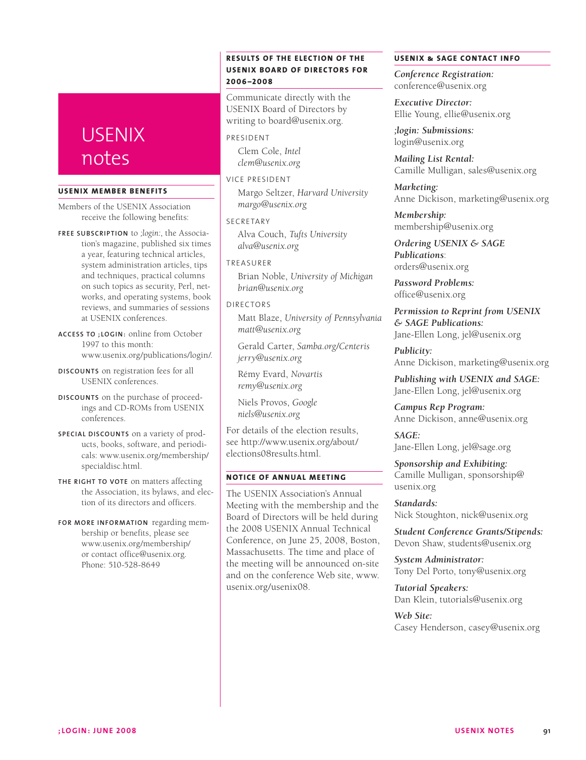# **USENIX** notes

#### **USENIX MEMBER BENEFITS**

Members of the USENIX Association receive the following benefits:

**Free subscrip tio n** to *;login:*, the Association's magazine, published six times a year, featuring technical articles, system administration articles, tips and techniques, practical columns on such topics as security, Perl, networks, and operating systems, book reviews, and summaries of sessions at USENIX conferences.

ACCESS TO **; LOGIN**: online from October 1997 to this month: www.usenix.org/publications/login/.

**Discount s** on registration fees for all USENIX conferences.

**Discount s** on the purchase of proceedings and CD-ROMs from USENIX conferences.

**SPECIAL DISCOUNTS** on a variety of products, books, software, and periodicals: www.usenix.org/membership/ specialdisc.html.

**The right to vote** on matters affecting the Association, its bylaws, and election of its directors and officers.

FOR MORE INFORMATION regarding membership or benefits, please see www.usenix.org/membership/ or contact office@usenix.org. Phone: 510-528-8649

## **RESULTS OF THE ELECTION OF THE USENIX BOARD OF DIRECTORS FOR 2 0 0 6 –2 0 0 8**

Communicate directly with the USENIX Board of Directors by writing to board@usenix.org.

#### **PRESIDENT**

Clem Cole, *Intel clem@usenix.org*

VICE PRESIDENT

Margo Seltzer, *Harvard University margo@usenix.org*

**SECRETARY** 

Alva Couch, *Tufts University alva@usenix.org*

**TREASURER** 

Brian Noble, *University of Michigan brian@usenix.org*

#### DIRECTORS

Matt Blaze, *University of Pennsylvania matt@usenix.org*

Gerald Carter, *Samba.org/Centeris jerry@usenix.org*

Rémy Evard, *Novartis remy@usenix.org*

Niels Provos, *Google niels@usenix.org*

For details of the election results, see http://www.usenix.org/about/ elections08results.html.

### **NOTICE OF ANNUAL MEETING**

The USENIX Association's Annual Meeting with the membership and the Board of Directors will be held during the 2008 USENIX Annual Technical Conference, on June 25, 2008, Boston, Massachusetts. The time and place of the meeting will be announced on-site and on the conference Web site, www. usenix.org/usenix08.

#### **USENIX & SAGE Contact Info**

*Conference Registration:* conference@usenix.org

*Executive Director:* Ellie Young, ellie@usenix.org

*;login: Submissions:* login@usenix.org

*Mailing List Rental:* Camille Mulligan, sales@usenix.org

*Marketing:* Anne Dickison, marketing@usenix.org

*Membership:* membership@usenix.org

*Ordering USENIX & SAGE Publications*: orders@usenix.org

*Password Problems:* office@usenix.org

*Permission to Reprint from USENIX & SAGE Publications:* Jane-Ellen Long, jel@usenix.org

*Publicity:* Anne Dickison, marketing@usenix.org

*Publishing with USENIX and SAGE:* Jane-Ellen Long, jel@usenix.org

*Campus Rep Program:* Anne Dickison, anne@usenix.org

*SAGE:* Jane-Ellen Long, jel@sage.org

*Sponsorship and Exhibiting:* Camille Mulligan, sponsorship@ usenix.org

*Standards:* Nick Stoughton, nick@usenix.org

*Student Conference Grants/Stipends:* Devon Shaw, students@usenix.org

*System Administrator:* Tony Del Porto, tony@usenix.org

*Tutorial Speakers:* Dan Klein, tutorials@usenix.org

*Web Site:* Casey Henderson, casey@usenix.org